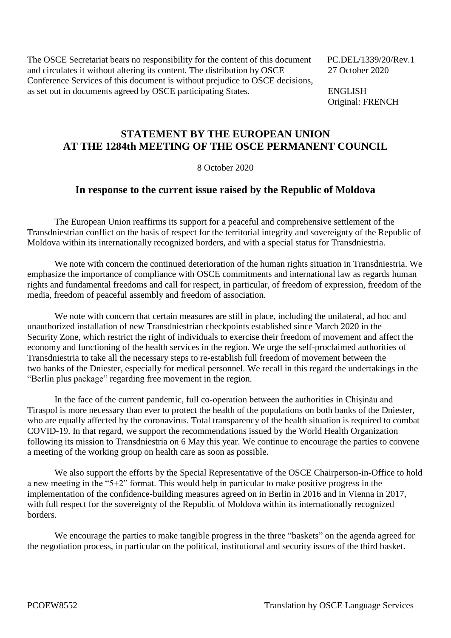The OSCE Secretariat bears no responsibility for the content of this document PC.DEL/1339/20/Rev.1 and circulates it without altering its content. The distribution by OSCE 27 October 2020 Conference Services of this document is without prejudice to OSCE decisions, as set out in documents agreed by OSCE participating States. ENGLISH

Original: FRENCH

## **STATEMENT BY THE EUROPEAN UNION AT THE 1284th MEETING OF THE OSCE PERMANENT COUNCIL**

8 October 2020

## **In response to the current issue raised by the Republic of Moldova**

The European Union reaffirms its support for a peaceful and comprehensive settlement of the Transdniestrian conflict on the basis of respect for the territorial integrity and sovereignty of the Republic of Moldova within its internationally recognized borders, and with a special status for Transdniestria.

We note with concern the continued deterioration of the human rights situation in Transdniestria. We emphasize the importance of compliance with OSCE commitments and international law as regards human rights and fundamental freedoms and call for respect, in particular, of freedom of expression, freedom of the media, freedom of peaceful assembly and freedom of association.

We note with concern that certain measures are still in place, including the unilateral, ad hoc and unauthorized installation of new Transdniestrian checkpoints established since March 2020 in the Security Zone, which restrict the right of individuals to exercise their freedom of movement and affect the economy and functioning of the health services in the region. We urge the self-proclaimed authorities of Transdniestria to take all the necessary steps to re-establish full freedom of movement between the two banks of the Dniester, especially for medical personnel. We recall in this regard the undertakings in the "Berlin plus package" regarding free movement in the region.

In the face of the current pandemic, full co-operation between the authorities in Chișinău and Tiraspol is more necessary than ever to protect the health of the populations on both banks of the Dniester, who are equally affected by the coronavirus. Total transparency of the health situation is required to combat COVID-19. In that regard, we support the recommendations issued by the World Health Organization following its mission to Transdniestria on 6 May this year. We continue to encourage the parties to convene a meeting of the working group on health care as soon as possible.

We also support the efforts by the Special Representative of the OSCE Chairperson-in-Office to hold a new meeting in the "5+2" format. This would help in particular to make positive progress in the implementation of the confidence-building measures agreed on in Berlin in 2016 and in Vienna in 2017, with full respect for the sovereignty of the Republic of Moldova within its internationally recognized borders.

We encourage the parties to make tangible progress in the three "baskets" on the agenda agreed for the negotiation process, in particular on the political, institutional and security issues of the third basket.